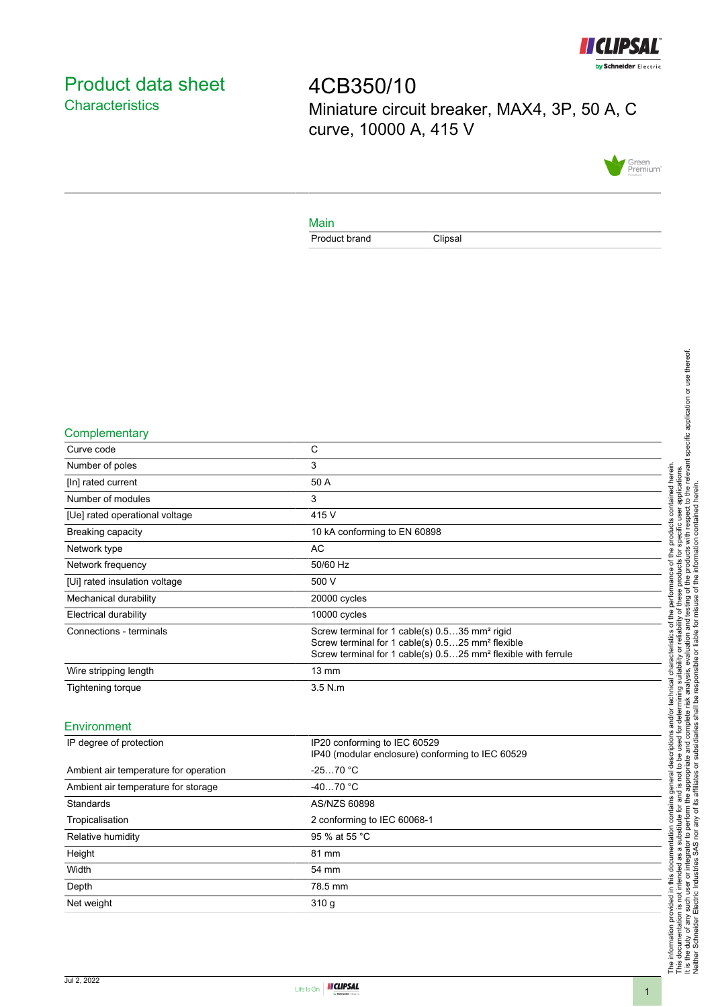

# <span id="page-0-0"></span>Product data sheet **Characteristics**

4CB350/10 Miniature circuit breaker, MAX4, 3P, 50 A, C curve, 10000 A, 415 V



#### Main

Product brand Clipsal

#### **Complementary**

| Curve code                     | C                                                                                                                                                                                                      |
|--------------------------------|--------------------------------------------------------------------------------------------------------------------------------------------------------------------------------------------------------|
| Number of poles                | 3                                                                                                                                                                                                      |
| [In] rated current             | 50 A                                                                                                                                                                                                   |
| Number of modules              | 3                                                                                                                                                                                                      |
| [Ue] rated operational voltage | 415 V                                                                                                                                                                                                  |
| <b>Breaking capacity</b>       | 10 kA conforming to EN 60898                                                                                                                                                                           |
| Network type                   | AC                                                                                                                                                                                                     |
| Network frequency              | 50/60 Hz                                                                                                                                                                                               |
| [Ui] rated insulation voltage  | 500 V                                                                                                                                                                                                  |
| Mechanical durability          | 20000 cycles                                                                                                                                                                                           |
| <b>Electrical durability</b>   | 10000 cycles                                                                                                                                                                                           |
| Connections - terminals        | Screw terminal for 1 cable(s) 0.535 mm <sup>2</sup> rigid<br>Screw terminal for 1 cable(s) 0.525 mm <sup>2</sup> flexible<br>Screw terminal for 1 cable(s) 0.525 mm <sup>2</sup> flexible with ferrule |
| Wire stripping length          | $13 \text{ mm}$                                                                                                                                                                                        |
| Tightening torque              | $3.5$ N.m                                                                                                                                                                                              |
|                                |                                                                                                                                                                                                        |

#### Environment

| IP degree of protection               | IP20 conforming to IEC 60529<br>IP40 (modular enclosure) conforming to IEC 60529 |
|---------------------------------------|----------------------------------------------------------------------------------|
| Ambient air temperature for operation | $-2570 °C$                                                                       |
| Ambient air temperature for storage   | $-4070 °C$                                                                       |
| Standards                             | AS/NZS 60898                                                                     |
| Tropicalisation                       | 2 conforming to IEC 60068-1                                                      |
| Relative humidity                     | 95 % at 55 °C                                                                    |
| Height                                | 81 mm                                                                            |
| Width                                 | 54 mm                                                                            |
| Depth                                 | 78.5 mm                                                                          |
| Net weight                            | 310q                                                                             |
|                                       |                                                                                  |